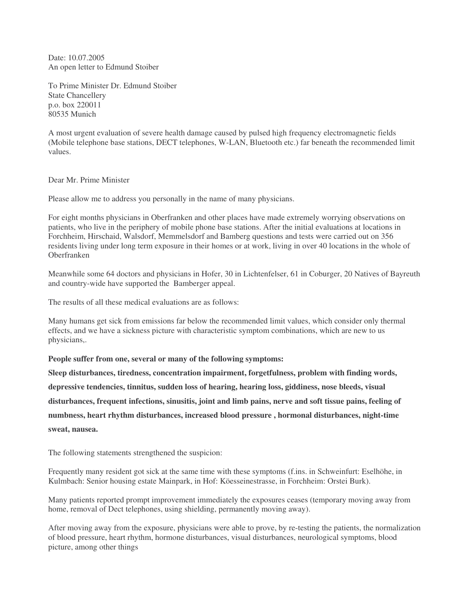Date: 10.07.2005 An open letter to Edmund Stoiber

To Prime Minister Dr. Edmund Stoiber State Chancellery p.o. box 220011 80535 Munich

A most urgent evaluation of severe health damage caused by pulsed high frequency electromagnetic fields (Mobile telephone base stations, DECT telephones, W-LAN, Bluetooth etc.) far beneath the recommended limit values.

Dear Mr. Prime Minister

Please allow me to address you personally in the name of many physicians.

For eight months physicians in Oberfranken and other places have made extremely worrying observations on patients, who live in the periphery of mobile phone base stations. After the initial evaluations at locations in Forchheim, Hirschaid, Walsdorf, Memmelsdorf and Bamberg questions and tests were carried out on 356 residents living under long term exposure in their homes or at work, living in over 40 locations in the whole of Oberfranken

Meanwhile some 64 doctors and physicians in Hofer, 30 in Lichtenfelser, 61 in Coburger, 20 Natives of Bayreuth and country-wide have supported the Bamberger appeal.

The results of all these medical evaluations are as follows:

Many humans get sick from emissions far below the recommended limit values, which consider only thermal effects, and we have a sickness picture with characteristic symptom combinations, which are new to us physicians,.

**People suffer from one, several or many of the following symptoms:**

**Sleep disturbances, tiredness, concentration impairment, forgetfulness, problem with finding words, depressive tendencies, tinnitus, sudden loss of hearing, hearing loss, giddiness, nose bleeds, visual disturbances, frequent infections, sinusitis, joint and limb pains, nerve and soft tissue pains, feeling of numbness, heart rhythm disturbances, increased blood pressure , hormonal disturbances, night-time sweat, nausea.**

The following statements strengthened the suspicion:

Frequently many resident got sick at the same time with these symptoms (f.ins. in Schweinfurt: Eselhöhe, in Kulmbach: Senior housing estate Mainpark, in Hof: Köesseinestrasse, in Forchheim: Orstei Burk).

Many patients reported prompt improvement immediately the exposures ceases (temporary moving away from home, removal of Dect telephones, using shielding, permanently moving away).

After moving away from the exposure, physicians were able to prove, by re-testing the patients, the normalization of blood pressure, heart rhythm, hormone disturbances, visual disturbances, neurological symptoms, blood picture, among other things